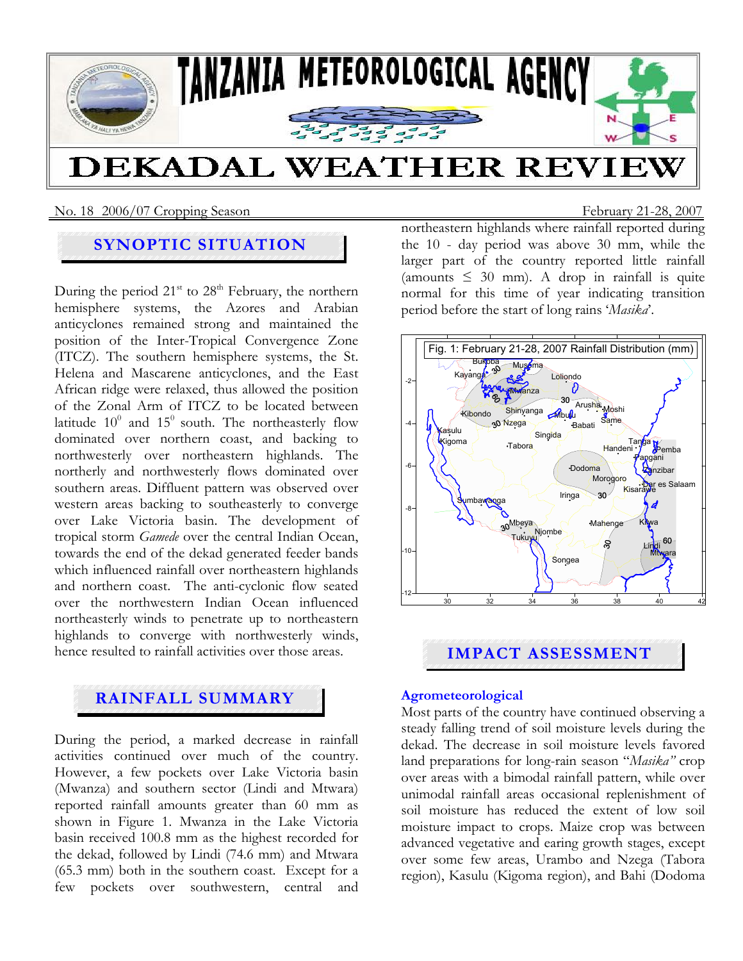

No. 18 2006/07 Cropping SeasonFebruary 21-28, 2007

# **SYNOPTIC SITUATION**

During the period  $21<sup>st</sup>$  to  $28<sup>th</sup>$  February, the northern hemisphere systems, the Azores and Arabian anticyclones remained strong and maintained the position of the Inter-Tropical Convergence Zone (ITCZ). The southern hemisphere systems, the St. Helena and Mascarene anticyclones, and the East African ridge were relaxed, thus allowed the position of the Zonal Arm of ITCZ to be located between latitude  $10^0$  and  $15^0$  south. The northeasterly flow dominated over northern coast, and backing to northwesterly over northeastern highlands. The northerly and northwesterly flows dominated over southern areas. Diffluent pattern was observed over western areas backing to southeasterly to converge over Lake Victoria basin. The development of tropical storm *Gamede* over the central Indian Ocean, towards the end of the dekad generated feeder bands which influenced rainfall over northeastern highlands and northern coast. The anti-cyclonic flow seated over the northwestern Indian Ocean influenced northeasterly winds to penetrate up to northeastern highlands to converge with northwesterly winds, hence resulted to rainfall activities over those areas.

# **RAINFALL SUMMARY**

During the period, a marked decrease in rainfall activities continued over much of the country. However, a few pockets over Lake Victoria basin (Mwanza) and southern sector (Lindi and Mtwara) reported rainfall amounts greater than 60 mm as shown in Figure 1. Mwanza in the Lake Victoria basin received 100.8 mm as the highest recorded for the dekad, followed by Lindi (74.6 mm) and Mtwara (65.3 mm) both in the southern coast. Except for a few pockets over southwestern, central and northeastern highlands where rainfall reported during the 10 - day period was above 30 mm, while the larger part of the country reported little rainfall (amounts  $\leq 30$  mm). A drop in rainfall is quite normal for this time of year indicating transition period before the start of long rains '*Masika*'.



# **IMPACT ASSESSMENT**

### **Agrometeorological**

Most parts of the country have continued observing a steady falling trend of soil moisture levels during the dekad. The decrease in soil moisture levels favored land preparations for long-rain season "*Masika"* crop over areas with a bimodal rainfall pattern, while over unimodal rainfall areas occasional replenishment of soil moisture has reduced the extent of low soil moisture impact to crops. Maize crop was between advanced vegetative and earing growth stages, except over some few areas, Urambo and Nzega (Tabora region), Kasulu (Kigoma region), and Bahi (Dodoma